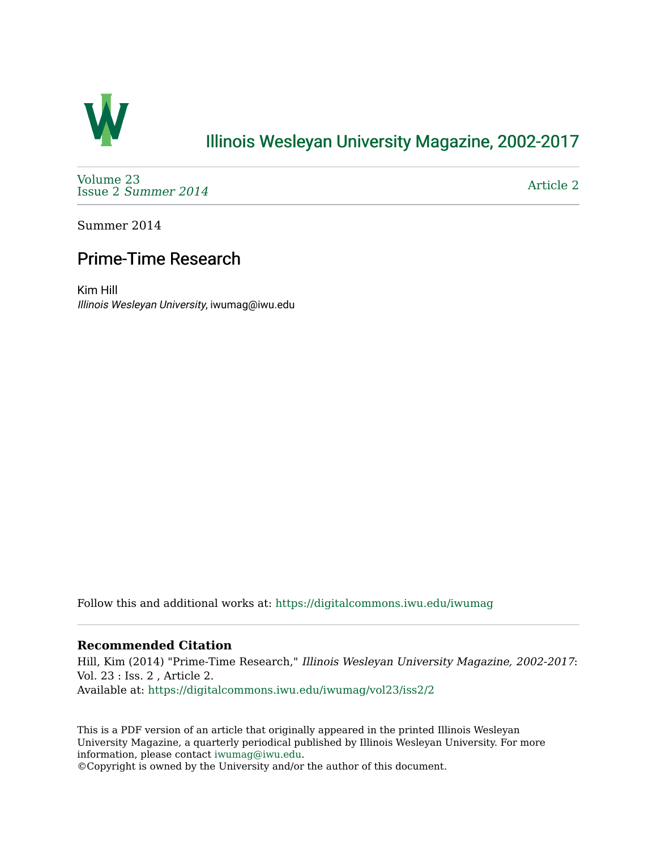

## [Illinois Wesleyan University Magazine, 2002-2017](https://digitalcommons.iwu.edu/iwumag)

[Volume 23](https://digitalcommons.iwu.edu/iwumag/vol23)  Issue 2 [Summer 2014](https://digitalcommons.iwu.edu/iwumag/vol23/iss2) 

[Article 2](https://digitalcommons.iwu.edu/iwumag/vol23/iss2/2) 

Summer 2014

## Prime-Time Research

Kim Hill Illinois Wesleyan University, iwumag@iwu.edu

Follow this and additional works at: [https://digitalcommons.iwu.edu/iwumag](https://digitalcommons.iwu.edu/iwumag?utm_source=digitalcommons.iwu.edu%2Fiwumag%2Fvol23%2Fiss2%2F2&utm_medium=PDF&utm_campaign=PDFCoverPages) 

## **Recommended Citation**

Hill, Kim (2014) "Prime-Time Research," Illinois Wesleyan University Magazine, 2002-2017: Vol. 23 : Iss. 2 , Article 2. Available at: [https://digitalcommons.iwu.edu/iwumag/vol23/iss2/2](https://digitalcommons.iwu.edu/iwumag/vol23/iss2/2?utm_source=digitalcommons.iwu.edu%2Fiwumag%2Fvol23%2Fiss2%2F2&utm_medium=PDF&utm_campaign=PDFCoverPages)

This is a PDF version of an article that originally appeared in the printed Illinois Wesleyan University Magazine, a quarterly periodical published by Illinois Wesleyan University. For more information, please contact [iwumag@iwu.edu](mailto:iwumag@iwu.edu).

©Copyright is owned by the University and/or the author of this document.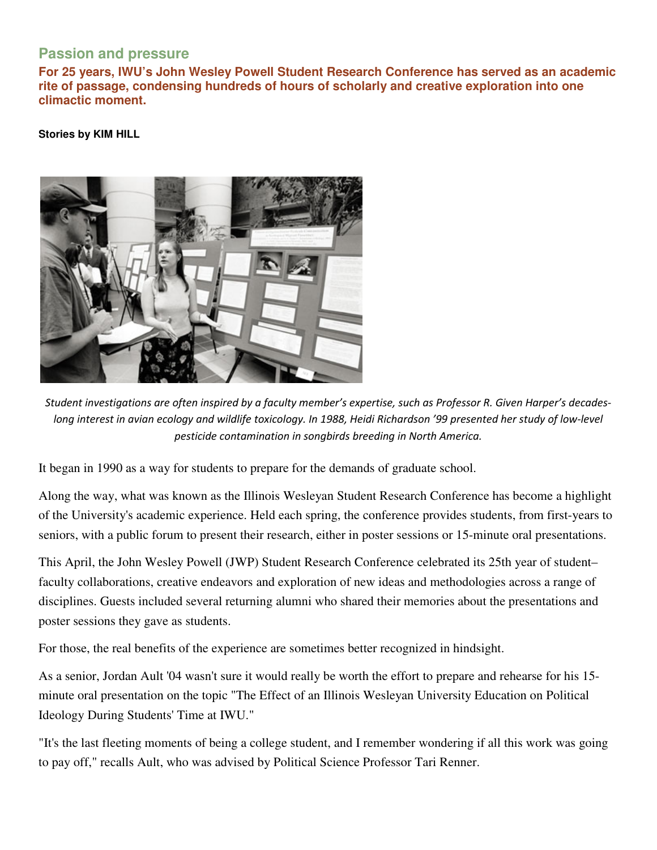## **Passion and pressure**

**For 25 years, IWU's John Wesley Powell Student Research Conference has served as an academic rite of passage, condensing hundreds of hours of scholarly and creative exploration into one climactic moment.** 

**Stories by KIM HILL** 



Student investigations are often inspired by a faculty member's expertise, such as Professor R. Given Harper's decadeslong interest in avian ecology and wildlife toxicology. In 1988, Heidi Richardson '99 presented her study of low-level pesticide contamination in songbirds breeding in North America.

It began in 1990 as a way for students to prepare for the demands of graduate school.

Along the way, what was known as the Illinois Wesleyan Student Research Conference has become a highlight of the University's academic experience. Held each spring, the conference provides students, from first-years to seniors, with a public forum to present their research, either in poster sessions or 15-minute oral presentations.

This April, the John Wesley Powell (JWP) Student Research Conference celebrated its 25th year of student– faculty collaborations, creative endeavors and exploration of new ideas and methodologies across a range of disciplines. Guests included several returning alumni who shared their memories about the presentations and poster sessions they gave as students.

For those, the real benefits of the experience are sometimes better recognized in hindsight.

As a senior, Jordan Ault '04 wasn't sure it would really be worth the effort to prepare and rehearse for his 15 minute oral presentation on the topic "The Effect of an Illinois Wesleyan University Education on Political Ideology During Students' Time at IWU."

"It's the last fleeting moments of being a college student, and I remember wondering if all this work was going to pay off," recalls Ault, who was advised by Political Science Professor Tari Renner.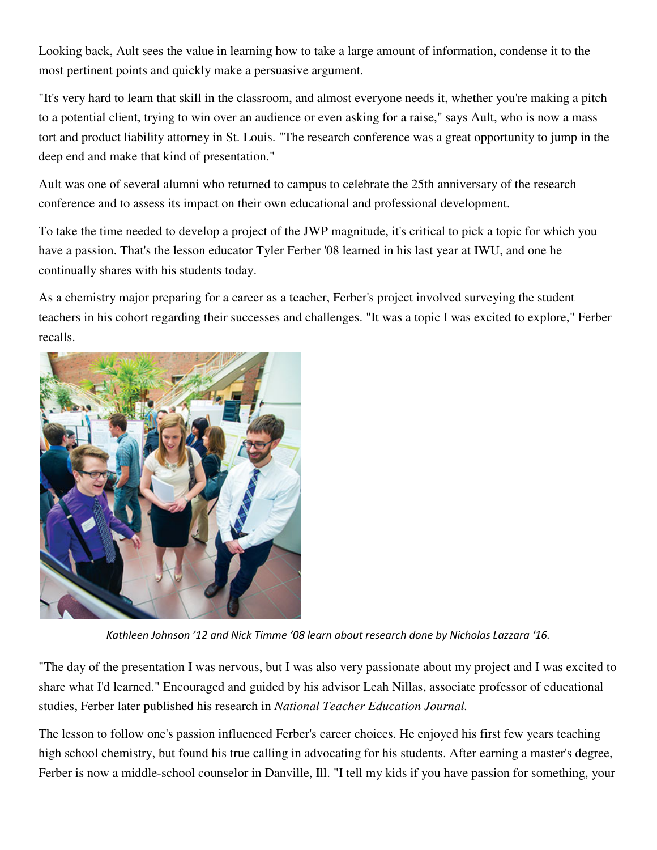Looking back, Ault sees the value in learning how to take a large amount of information, condense it to the most pertinent points and quickly make a persuasive argument.

"It's very hard to learn that skill in the classroom, and almost everyone needs it, whether you're making a pitch to a potential client, trying to win over an audience or even asking for a raise," says Ault, who is now a mass tort and product liability attorney in St. Louis. "The research conference was a great opportunity to jump in the deep end and make that kind of presentation."

Ault was one of several alumni who returned to campus to celebrate the 25th anniversary of the research conference and to assess its impact on their own educational and professional development.

To take the time needed to develop a project of the JWP magnitude, it's critical to pick a topic for which you have a passion. That's the lesson educator Tyler Ferber '08 learned in his last year at IWU, and one he continually shares with his students today.

As a chemistry major preparing for a career as a teacher, Ferber's project involved surveying the student teachers in his cohort regarding their successes and challenges. "It was a topic I was excited to explore," Ferber recalls.



Kathleen Johnson '12 and Nick Timme '08 learn about research done by Nicholas Lazzara '16.

"The day of the presentation I was nervous, but I was also very passionate about my project and I was excited to share what I'd learned." Encouraged and guided by his advisor Leah Nillas, associate professor of educational studies, Ferber later published his research in *National Teacher Education Journal.*

The lesson to follow one's passion influenced Ferber's career choices. He enjoyed his first few years teaching high school chemistry, but found his true calling in advocating for his students. After earning a master's degree, Ferber is now a middle-school counselor in Danville, Ill. "I tell my kids if you have passion for something, your